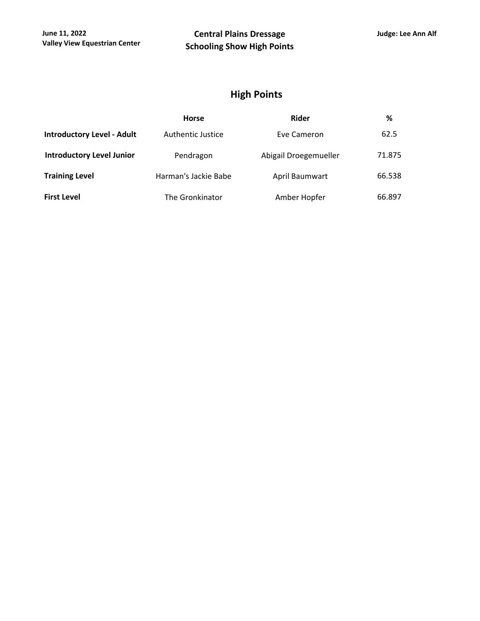## **High Points**

|                                   | <b>Horse</b>         | <b>Rider</b>          | %      |  |
|-----------------------------------|----------------------|-----------------------|--------|--|
| <b>Introductory Level - Adult</b> | Authentic Justice    | Eve Cameron           | 62.5   |  |
| <b>Introductory Level Junior</b>  | Pendragon            | Abigail Droegemueller | 71.875 |  |
| <b>Training Level</b>             | Harman's Jackie Babe | April Baumwart        | 66.538 |  |
| <b>First Level</b>                | The Gronkinator      | Amber Hopfer          | 66.897 |  |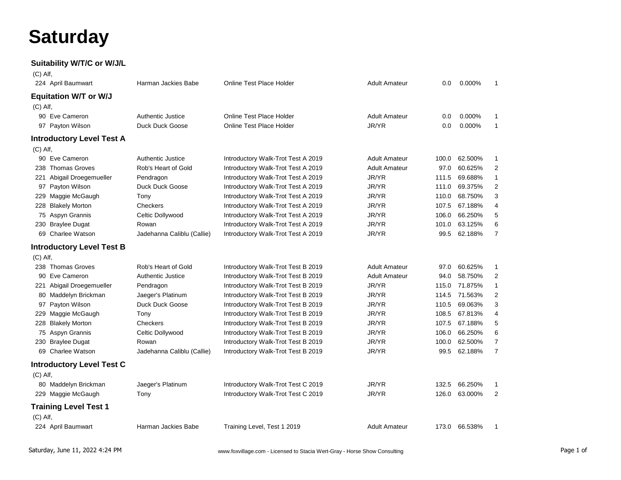## **Saturday**

## **Suitability W/T/C or W/J/L**

| $(C)$ Alf, |                                  |                            |                                    |                      |       |               |                |
|------------|----------------------------------|----------------------------|------------------------------------|----------------------|-------|---------------|----------------|
|            | 224 April Baumwart               | Harman Jackies Babe        | <b>Online Test Place Holder</b>    | <b>Adult Amateur</b> | 0.0   | 0.000%        | $\mathbf{1}$   |
|            | <b>Equitation W/T or W/J</b>     |                            |                                    |                      |       |               |                |
| (C) Alf,   |                                  |                            |                                    |                      |       |               |                |
|            | 90 Eve Cameron                   | <b>Authentic Justice</b>   | Online Test Place Holder           | <b>Adult Amateur</b> | 0.0   | 0.000%        | 1              |
|            | 97 Payton Wilson                 | Duck Duck Goose            | <b>Online Test Place Holder</b>    | JR/YR                | 0.0   | 0.000%        | $\mathbf{1}$   |
|            | <b>Introductory Level Test A</b> |                            |                                    |                      |       |               |                |
| (C) Alf,   |                                  |                            |                                    |                      |       |               |                |
|            | 90 Eve Cameron                   | <b>Authentic Justice</b>   | Introductory Walk-Trot Test A 2019 | <b>Adult Amateur</b> | 100.0 | 62.500%       | 1              |
| 238        | <b>Thomas Groves</b>             | Rob's Heart of Gold        | Introductory Walk-Trot Test A 2019 | <b>Adult Amateur</b> | 97.0  | 60.625%       | 2              |
| 221        | Abigail Droegemueller            | Pendragon                  | Introductory Walk-Trot Test A 2019 | JR/YR                | 111.5 | 69.688%       | $\mathbf{1}$   |
|            | 97 Payton Wilson                 | <b>Duck Duck Goose</b>     | Introductory Walk-Trot Test A 2019 | JR/YR                | 111.0 | 69.375%       | $\overline{2}$ |
| 229        | Maggie McGaugh                   | Tony                       | Introductory Walk-Trot Test A 2019 | JR/YR                | 110.0 | 68.750%       | 3              |
|            | 228 Blakely Morton               | Checkers                   | Introductory Walk-Trot Test A 2019 | JR/YR                | 107.5 | 67.188%       | 4              |
|            | 75 Aspyn Grannis                 | Celtic Dollywood           | Introductory Walk-Trot Test A 2019 | JR/YR                | 106.0 | 66.250%       | 5              |
|            | 230 Braylee Dugat                | Rowan                      | Introductory Walk-Trot Test A 2019 | JR/YR                | 101.0 | 63.125%       | 6              |
|            | 69 Charlee Watson                | Jadehanna Caliblu (Callie) | Introductory Walk-Trot Test A 2019 | JR/YR                | 99.5  | 62.188%       | $\overline{7}$ |
|            | <b>Introductory Level Test B</b> |                            |                                    |                      |       |               |                |
| (C) Alf,   |                                  |                            |                                    |                      |       |               |                |
|            | 238 Thomas Groves                | Rob's Heart of Gold        | Introductory Walk-Trot Test B 2019 | <b>Adult Amateur</b> | 97.0  | 60.625%       | $\mathbf{1}$   |
|            | 90 Eve Cameron                   | <b>Authentic Justice</b>   | Introductory Walk-Trot Test B 2019 | <b>Adult Amateur</b> | 94.0  | 58.750%       | 2              |
| 221        | Abigail Droegemueller            | Pendragon                  | Introductory Walk-Trot Test B 2019 | JR/YR                | 115.0 | 71.875%       | $\mathbf{1}$   |
| 80         | Maddelyn Brickman                | Jaeger's Platinum          | Introductory Walk-Trot Test B 2019 | JR/YR                | 114.5 | 71.563%       | $\overline{2}$ |
| 97         | Payton Wilson                    | Duck Duck Goose            | Introductory Walk-Trot Test B 2019 | JR/YR                | 110.5 | 69.063%       | 3              |
| 229        | Maggie McGaugh                   | Tony                       | Introductory Walk-Trot Test B 2019 | JR/YR                | 108.5 | 67.813%       | 4              |
|            | 228 Blakely Morton               | Checkers                   | Introductory Walk-Trot Test B 2019 | JR/YR                | 107.5 | 67.188%       | 5              |
|            | 75 Aspyn Grannis                 | Celtic Dollywood           | Introductory Walk-Trot Test B 2019 | JR/YR                | 106.0 | 66.250%       | 6              |
| 230        | <b>Braylee Dugat</b>             | Rowan                      | Introductory Walk-Trot Test B 2019 | JR/YR                | 100.0 | 62.500%       | 7              |
|            | 69 Charlee Watson                | Jadehanna Caliblu (Callie) | Introductory Walk-Trot Test B 2019 | JR/YR                | 99.5  | 62.188%       | $\overline{7}$ |
|            | <b>Introductory Level Test C</b> |                            |                                    |                      |       |               |                |
| $(C)$ Alf, |                                  |                            |                                    |                      |       |               |                |
|            | 80 Maddelyn Brickman             | Jaeger's Platinum          | Introductory Walk-Trot Test C 2019 | JR/YR                | 132.5 | 66.250%       | $\mathbf{1}$   |
|            | 229 Maggie McGaugh               | Tony                       | Introductory Walk-Trot Test C 2019 | JR/YR                | 126.0 | 63.000%       | 2              |
|            | <b>Training Level Test 1</b>     |                            |                                    |                      |       |               |                |
| $(C)$ Alf, |                                  |                            |                                    |                      |       |               |                |
|            | 224 April Baumwart               | Harman Jackies Babe        | Training Level, Test 1 2019        | <b>Adult Amateur</b> |       | 173.0 66.538% | $\mathbf 1$    |